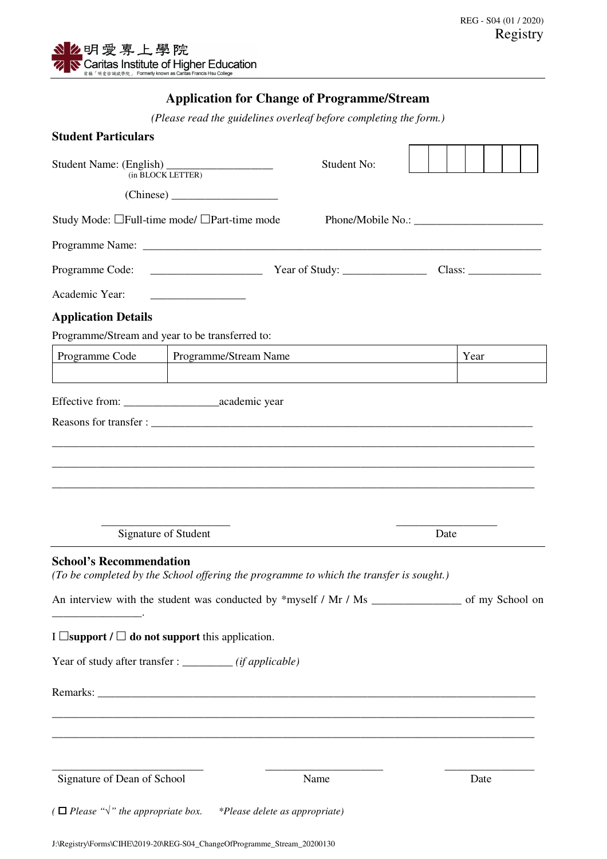## **Application for Change of Programme/Stream**

*(Please read the guidelines overleaf before completing the form.)* 

| <b>Student Particulars</b>              |                                                                                    |                                                                                         |      |      |  |  |
|-----------------------------------------|------------------------------------------------------------------------------------|-----------------------------------------------------------------------------------------|------|------|--|--|
| (in BLOCK LETTER)                       |                                                                                    | <b>Student No:</b>                                                                      |      |      |  |  |
|                                         | Study Mode: □Full-time mode/ □Part-time mode                                       |                                                                                         |      |      |  |  |
|                                         |                                                                                    |                                                                                         |      |      |  |  |
|                                         |                                                                                    |                                                                                         |      |      |  |  |
| Academic Year:                          |                                                                                    |                                                                                         |      |      |  |  |
| <b>Application Details</b>              |                                                                                    |                                                                                         |      |      |  |  |
|                                         | Programme/Stream and year to be transferred to:                                    |                                                                                         |      |      |  |  |
| Programme/Stream Name<br>Programme Code |                                                                                    |                                                                                         |      | Year |  |  |
|                                         |                                                                                    |                                                                                         |      |      |  |  |
|                                         |                                                                                    |                                                                                         |      |      |  |  |
|                                         |                                                                                    |                                                                                         |      |      |  |  |
|                                         |                                                                                    |                                                                                         |      |      |  |  |
|                                         |                                                                                    |                                                                                         |      |      |  |  |
|                                         |                                                                                    |                                                                                         |      |      |  |  |
|                                         | Signature of Student                                                               |                                                                                         | Date |      |  |  |
| <b>School's Recommendation</b>          |                                                                                    | (To be completed by the School offering the programme to which the transfer is sought.) |      |      |  |  |
|                                         |                                                                                    |                                                                                         |      |      |  |  |
|                                         | I $\Box$ support / $\Box$ do not support this application.                         |                                                                                         |      |      |  |  |
|                                         | Year of study after transfer : _________ (if applicable)                           |                                                                                         |      |      |  |  |
|                                         |                                                                                    |                                                                                         |      |      |  |  |
|                                         |                                                                                    |                                                                                         |      |      |  |  |
|                                         |                                                                                    |                                                                                         |      |      |  |  |
| Signature of Dean of School             |                                                                                    | Name                                                                                    |      | Date |  |  |
|                                         | ( $\Box$ Please " $\sqrt{ }$ " the appropriate box. *Please delete as appropriate) |                                                                                         |      |      |  |  |
|                                         |                                                                                    |                                                                                         |      |      |  |  |